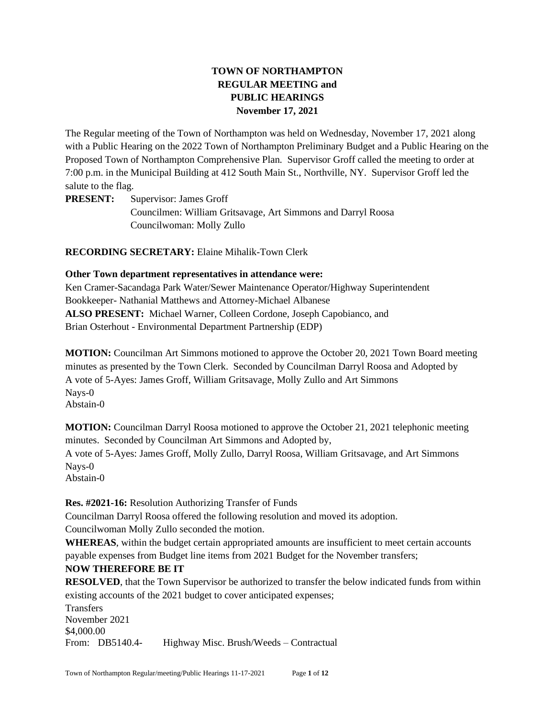# **TOWN OF NORTHAMPTON REGULAR MEETING and PUBLIC HEARINGS November 17, 2021**

The Regular meeting of the Town of Northampton was held on Wednesday, November 17, 2021 along with a Public Hearing on the 2022 Town of Northampton Preliminary Budget and a Public Hearing on the Proposed Town of Northampton Comprehensive Plan. Supervisor Groff called the meeting to order at 7:00 p.m. in the Municipal Building at 412 South Main St., Northville, NY. Supervisor Groff led the salute to the flag.

**PRESENT:** Supervisor: James Groff Councilmen: William Gritsavage, Art Simmons and Darryl Roosa Councilwoman: Molly Zullo

**RECORDING SECRETARY:** Elaine Mihalik-Town Clerk

### **Other Town department representatives in attendance were:**

Ken Cramer-Sacandaga Park Water/Sewer Maintenance Operator/Highway Superintendent Bookkeeper- Nathanial Matthews and Attorney-Michael Albanese **ALSO PRESENT:** Michael Warner, Colleen Cordone, Joseph Capobianco, and Brian Osterhout - Environmental Department Partnership (EDP)

**MOTION:** Councilman Art Simmons motioned to approve the October 20, 2021 Town Board meeting minutes as presented by the Town Clerk. Seconded by Councilman Darryl Roosa and Adopted by A vote of 5-Ayes: James Groff, William Gritsavage, Molly Zullo and Art Simmons Nays-0 Abstain-0

**MOTION:** Councilman Darryl Roosa motioned to approve the October 21, 2021 telephonic meeting minutes. Seconded by Councilman Art Simmons and Adopted by, A vote of 5-Ayes: James Groff, Molly Zullo, Darryl Roosa, William Gritsavage, and Art Simmons Nays-0 Abstain-0

**Res. #2021-16:** Resolution Authorizing Transfer of Funds

Councilman Darryl Roosa offered the following resolution and moved its adoption.

Councilwoman Molly Zullo seconded the motion.

**WHEREAS**, within the budget certain appropriated amounts are insufficient to meet certain accounts payable expenses from Budget line items from 2021 Budget for the November transfers;

## **NOW THEREFORE BE IT**

**RESOLVED**, that the Town Supervisor be authorized to transfer the below indicated funds from within existing accounts of the 2021 budget to cover anticipated expenses;

**Transfers** November 2021 \$4,000.00 From: DB5140.4- Highway Misc. Brush/Weeds – Contractual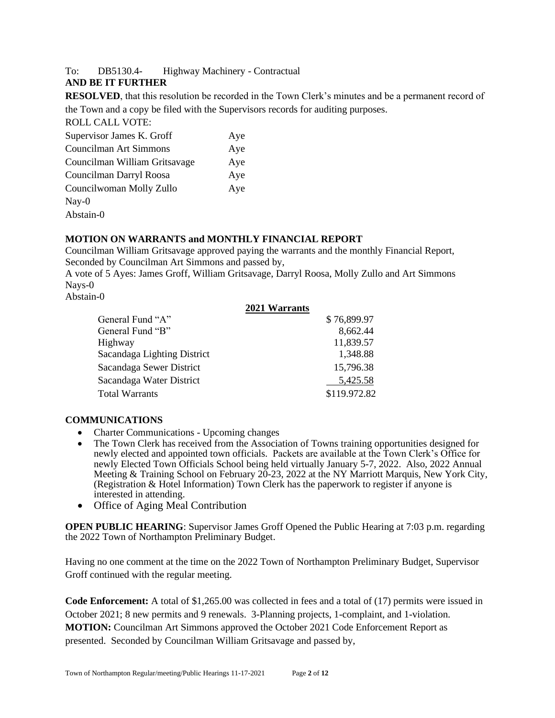## To: DB5130.4- Highway Machinery - Contractual

### **AND BE IT FURTHER**

**RESOLVED**, that this resolution be recorded in the Town Clerk's minutes and be a permanent record of the Town and a copy be filed with the Supervisors records for auditing purposes.

| <b>ROLL CALL VOTE:</b>        |     |
|-------------------------------|-----|
| Supervisor James K. Groff     | Aye |
| Councilman Art Simmons        | Aye |
| Councilman William Gritsavage | Aye |
| Councilman Darryl Roosa       | Aye |
| Councilwoman Molly Zullo      | Aye |
| $\text{Nay-0}$                |     |
| Abstain-0                     |     |

### **MOTION ON WARRANTS and MONTHLY FINANCIAL REPORT**

Councilman William Gritsavage approved paying the warrants and the monthly Financial Report, Seconded by Councilman Art Simmons and passed by,

A vote of 5 Ayes: James Groff, William Gritsavage, Darryl Roosa, Molly Zullo and Art Simmons Nays-0

Abstain-0

|                             | 2021 Warrants |
|-----------------------------|---------------|
| General Fund "A"            | \$76,899.97   |
| General Fund "B"            | 8,662.44      |
| Highway                     | 11,839.57     |
| Sacandaga Lighting District | 1,348.88      |
| Sacandaga Sewer District    | 15,796.38     |
| Sacandaga Water District    | 5,425.58      |
| <b>Total Warrants</b>       | \$119.972.82  |

#### **COMMUNICATIONS**

- Charter Communications Upcoming changes
- The Town Clerk has received from the Association of Towns training opportunities designed for newly elected and appointed town officials. Packets are available at the Town Clerk's Office for newly Elected Town Officials School being held virtually January 5-7, 2022. Also, 2022 Annual Meeting & Training School on February 20-23, 2022 at the NY Marriott Marquis, New York City, (Registration & Hotel Information) Town Clerk has the paperwork to register if anyone is interested in attending.
- Office of Aging Meal Contribution

**OPEN PUBLIC HEARING:** Supervisor James Groff Opened the Public Hearing at 7:03 p.m. regarding the 2022 Town of Northampton Preliminary Budget.

Having no one comment at the time on the 2022 Town of Northampton Preliminary Budget, Supervisor Groff continued with the regular meeting.

**Code Enforcement:** A total of \$1,265.00 was collected in fees and a total of (17) permits were issued in October 2021; 8 new permits and 9 renewals. 3-Planning projects, 1-complaint, and 1-violation. **MOTION:** Councilman Art Simmons approved the October 2021 Code Enforcement Report as presented. Seconded by Councilman William Gritsavage and passed by,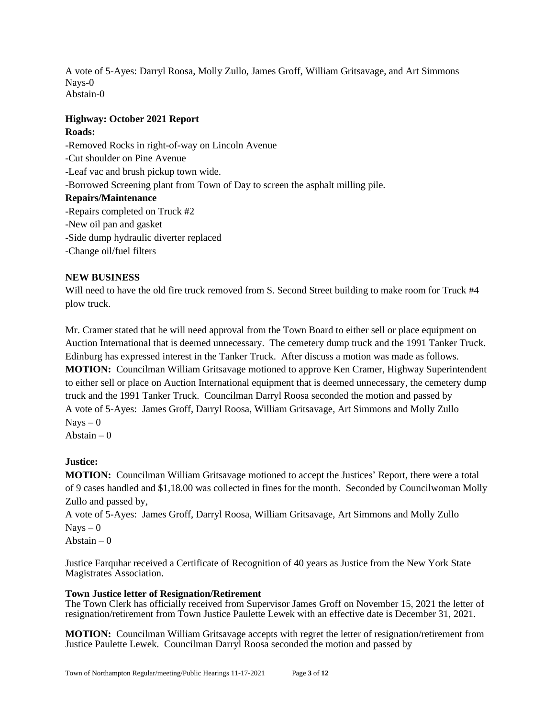A vote of 5-Ayes: Darryl Roosa, Molly Zullo, James Groff, William Gritsavage, and Art Simmons Nays-0 Abstain-0

## **Highway: October 2021 Report**

## **Roads:**

-Removed Rocks in right-of-way on Lincoln Avenue -Cut shoulder on Pine Avenue -Leaf vac and brush pickup town wide. -Borrowed Screening plant from Town of Day to screen the asphalt milling pile. **Repairs/Maintenance** -Repairs completed on Truck #2 -New oil pan and gasket -Side dump hydraulic diverter replaced -Change oil/fuel filters

## **NEW BUSINESS**

Will need to have the old fire truck removed from S. Second Street building to make room for Truck #4 plow truck.

Mr. Cramer stated that he will need approval from the Town Board to either sell or place equipment on Auction International that is deemed unnecessary. The cemetery dump truck and the 1991 Tanker Truck. Edinburg has expressed interest in the Tanker Truck. After discuss a motion was made as follows. **MOTION:** Councilman William Gritsavage motioned to approve Ken Cramer, Highway Superintendent to either sell or place on Auction International equipment that is deemed unnecessary, the cemetery dump truck and the 1991 Tanker Truck. Councilman Darryl Roosa seconded the motion and passed by A vote of 5-Ayes: James Groff, Darryl Roosa, William Gritsavage, Art Simmons and Molly Zullo  $Nays - 0$ 

Abstain  $-0$ 

# **Justice:**

**MOTION:** Councilman William Gritsavage motioned to accept the Justices' Report, there were a total of 9 cases handled and \$1,18.00 was collected in fines for the month. Seconded by Councilwoman Molly Zullo and passed by,

A vote of 5-Ayes: James Groff, Darryl Roosa, William Gritsavage, Art Simmons and Molly Zullo  $Nays - 0$ 

Abstain  $-0$ 

Justice Farquhar received a Certificate of Recognition of 40 years as Justice from the New York State Magistrates Association.

## **Town Justice letter of Resignation/Retirement**

The Town Clerk has officially received from Supervisor James Groff on November 15, 2021 the letter of resignation/retirement from Town Justice Paulette Lewek with an effective date is December 31, 2021.

**MOTION:** Councilman William Gritsavage accepts with regret the letter of resignation/retirement from Justice Paulette Lewek. Councilman Darryl Roosa seconded the motion and passed by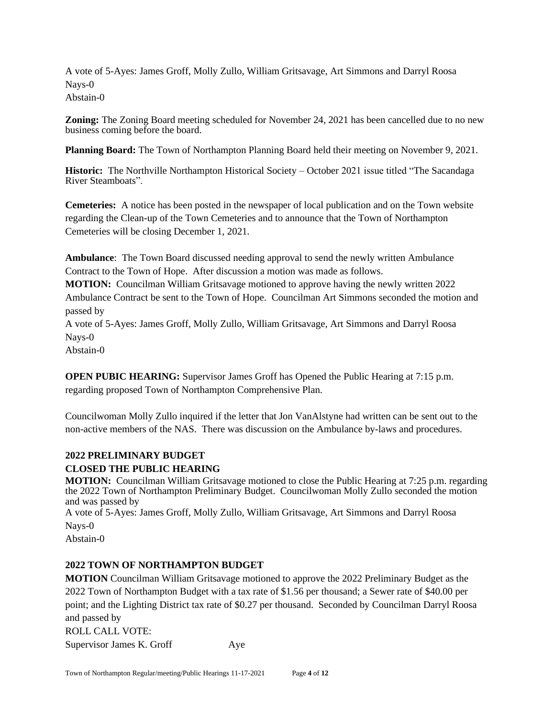A vote of 5-Ayes: James Groff, Molly Zullo, William Gritsavage, Art Simmons and Darryl Roosa Nays-0 Abstain-0

**Zoning:** The Zoning Board meeting scheduled for November 24, 2021 has been cancelled due to no new business coming before the board.

**Planning Board:** The Town of Northampton Planning Board held their meeting on November 9, 2021.

**Historic:** The Northville Northampton Historical Society – October 2021 issue titled "The Sacandaga River Steamboats".

**Cemeteries:** A notice has been posted in the newspaper of local publication and on the Town website regarding the Clean-up of the Town Cemeteries and to announce that the Town of Northampton Cemeteries will be closing December 1, 2021.

**Ambulance**: The Town Board discussed needing approval to send the newly written Ambulance Contract to the Town of Hope. After discussion a motion was made as follows.

**MOTION:** Councilman William Gritsavage motioned to approve having the newly written 2022 Ambulance Contract be sent to the Town of Hope. Councilman Art Simmons seconded the motion and passed by

A vote of 5-Ayes: James Groff, Molly Zullo, William Gritsavage, Art Simmons and Darryl Roosa Nays-0

Abstain-0

**OPEN PUBIC HEARING:** Supervisor James Groff has Opened the Public Hearing at 7:15 p.m. regarding proposed Town of Northampton Comprehensive Plan.

Councilwoman Molly Zullo inquired if the letter that Jon VanAlstyne had written can be sent out to the non-active members of the NAS. There was discussion on the Ambulance by-laws and procedures.

## **2022 PRELIMINARY BUDGET**

## **CLOSED THE PUBLIC HEARING**

**MOTION:** Councilman William Gritsavage motioned to close the Public Hearing at 7:25 p.m. regarding the 2022 Town of Northampton Preliminary Budget. Councilwoman Molly Zullo seconded the motion and was passed by

A vote of 5-Ayes: James Groff, Molly Zullo, William Gritsavage, Art Simmons and Darryl Roosa Nays-0

Abstain-0

## **2022 TOWN OF NORTHAMPTON BUDGET**

**MOTION** Councilman William Gritsavage motioned to approve the 2022 Preliminary Budget as the 2022 Town of Northampton Budget with a tax rate of \$1.56 per thousand; a Sewer rate of \$40.00 per point; and the Lighting District tax rate of \$0.27 per thousand. Seconded by Councilman Darryl Roosa and passed by ROLL CALL VOTE: Supervisor James K. Groff Aye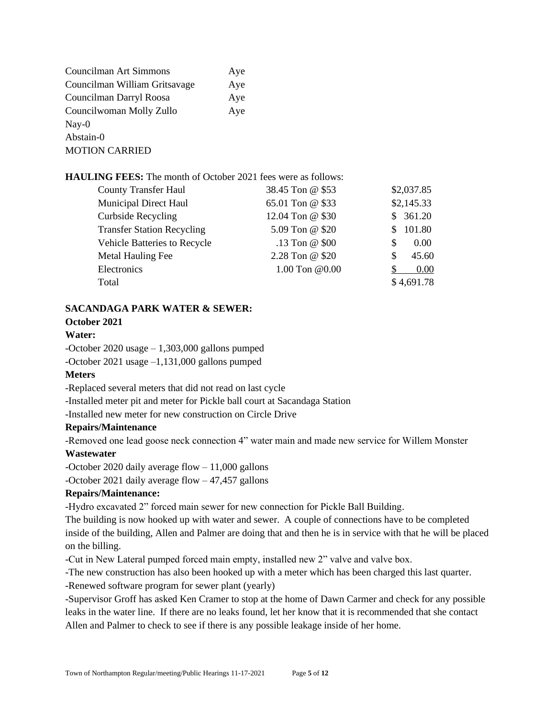| Councilman Art Simmons        | Aye |
|-------------------------------|-----|
| Councilman William Gritsavage | Aye |
| Councilman Darryl Roosa       | Aye |
| Councilwoman Molly Zullo      | Aye |
| $\text{Nay-0}$                |     |
| Abstain-0                     |     |
| <b>MOTION CARRIED</b>         |     |

**HAULING FEES:** The month of October 2021 fees were as follows:

| <b>County Transfer Haul</b>       | 38.45 Ton @ \$53 | \$2,037.85  |
|-----------------------------------|------------------|-------------|
| <b>Municipal Direct Haul</b>      | 65.01 Ton @ \$33 | \$2,145.33  |
| <b>Curbside Recycling</b>         | 12.04 Ton @ \$30 | \$361.20    |
| <b>Transfer Station Recycling</b> | 5.09 Ton @ \$20  | 101.80<br>S |
| Vehicle Batteries to Recycle      | .13 Ton @ \$00   | 0.00<br>\$. |
| Metal Hauling Fee                 | 2.28 Ton @ \$20  | 45.60<br>S  |
| Electronics                       | 1.00 Ton @0.00   | 0.00        |
| Total                             |                  | \$4,691.78  |

#### **SACANDAGA PARK WATER & SEWER:**

#### **October 2021**

### **Water:**

-October 2020 usage – 1,303,000 gallons pumped

-October 2021 usage –1,131,000 gallons pumped

## **Meters**

-Replaced several meters that did not read on last cycle

-Installed meter pit and meter for Pickle ball court at Sacandaga Station

-Installed new meter for new construction on Circle Drive

#### **Repairs/Maintenance**

-Removed one lead goose neck connection 4" water main and made new service for Willem Monster **Wastewater**

-October 2020 daily average flow  $-11,000$  gallons

-October 2021 daily average flow – 47,457 gallons

#### **Repairs/Maintenance:**

-Hydro excavated 2" forced main sewer for new connection for Pickle Ball Building.

The building is now hooked up with water and sewer. A couple of connections have to be completed inside of the building, Allen and Palmer are doing that and then he is in service with that he will be placed on the billing.

-Cut in New Lateral pumped forced main empty, installed new 2" valve and valve box.

-The new construction has also been hooked up with a meter which has been charged this last quarter.

-Renewed software program for sewer plant (yearly)

-Supervisor Groff has asked Ken Cramer to stop at the home of Dawn Carmer and check for any possible leaks in the water line. If there are no leaks found, let her know that it is recommended that she contact Allen and Palmer to check to see if there is any possible leakage inside of her home.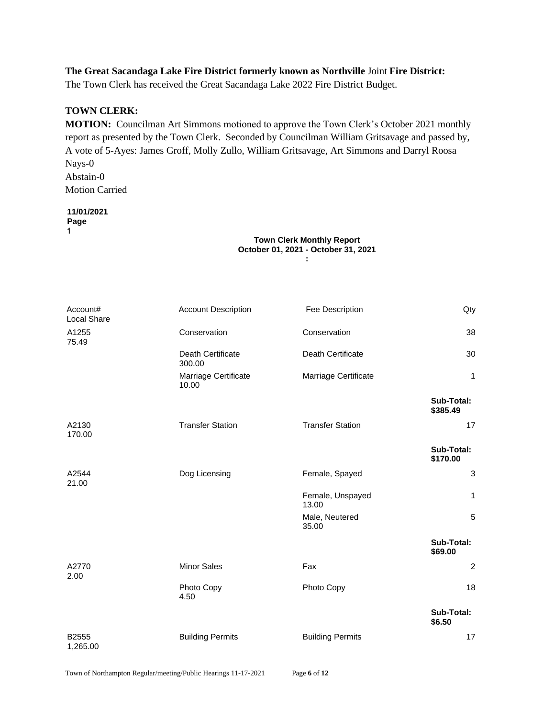#### **The Great Sacandaga Lake Fire District formerly known as Northville** Joint **Fire District:**

The Town Clerk has received the Great Sacandaga Lake 2022 Fire District Budget.

#### **TOWN CLERK:**

**MOTION:** Councilman Art Simmons motioned to approve the Town Clerk's October 2021 monthly report as presented by the Town Clerk. Seconded by Councilman William Gritsavage and passed by, A vote of 5-Ayes: James Groff, Molly Zullo, William Gritsavage, Art Simmons and Darryl Roosa Nays-0 Abstain-0 Motion Carried

### **11/01/2021**

**Page**

**1**

#### **Town Clerk Monthly Report October 01, 2021 - October 31, 2021 :**

| Account#<br>Local Share | <b>Account Description</b>    | Fee Description           | Qty                    |
|-------------------------|-------------------------------|---------------------------|------------------------|
| A1255<br>75.49          | Conservation                  | Conservation              | 38                     |
|                         | Death Certificate<br>300.00   | Death Certificate         | 30                     |
|                         | Marriage Certificate<br>10.00 | Marriage Certificate      | 1                      |
|                         |                               |                           | Sub-Total:<br>\$385.49 |
| A2130<br>170.00         | <b>Transfer Station</b>       | <b>Transfer Station</b>   | 17                     |
|                         |                               |                           | Sub-Total:<br>\$170.00 |
| A2544<br>21.00          | Dog Licensing                 | Female, Spayed            | 3                      |
|                         |                               | Female, Unspayed<br>13.00 | $\mathbf{1}$           |
|                         |                               | Male, Neutered<br>35.00   | 5                      |
|                         |                               |                           | Sub-Total:<br>\$69.00  |
| A2770<br>2.00           | <b>Minor Sales</b>            | Fax                       | 2                      |
|                         | Photo Copy<br>4.50            | Photo Copy                | 18                     |
|                         |                               |                           | Sub-Total:<br>\$6.50   |
| B2555<br>1,265.00       | <b>Building Permits</b>       | <b>Building Permits</b>   | 17                     |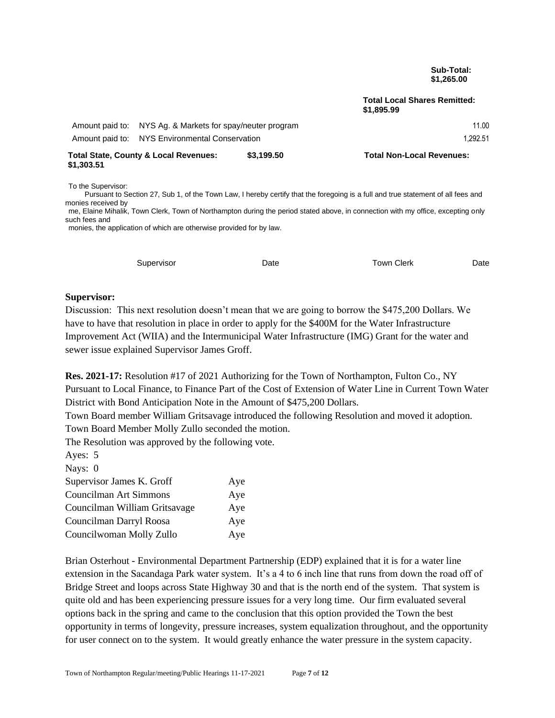**Sub-Total: \$1,265.00**

**Total Local Shares Remitted: \$1,895.99**

| \$1.303.51 | Total State, County & Local Revenues:                     | \$3.199.50 | <b>Total Non-Local Revenues:</b> |
|------------|-----------------------------------------------------------|------------|----------------------------------|
|            | Amount paid to: NYS Environmental Conservation            |            | 1.292.51                         |
|            | Amount paid to: NYS Ag. & Markets for spay/neuter program |            | 11.00                            |

To the Supervisor:

 Pursuant to Section 27, Sub 1, of the Town Law, I hereby certify that the foregoing is a full and true statement of all fees and monies received by

me, Elaine Mihalik, Town Clerk, Town of Northampton during the period stated above, in connection with my office, excepting only such fees and monies, the application of which are otherwise provided for by law.

| Supervisor | Date | <b>Town Clerk</b> | Date |
|------------|------|-------------------|------|
|            |      |                   |      |

#### **Supervisor:**

Discussion: This next resolution doesn't mean that we are going to borrow the \$475,200 Dollars. We have to have that resolution in place in order to apply for the \$400M for the Water Infrastructure Improvement Act (WIIA) and the Intermunicipal Water Infrastructure (IMG) Grant for the water and sewer issue explained Supervisor James Groff.

**Res. 2021-17:** Resolution #17 of 2021 Authorizing for the Town of Northampton, Fulton Co., NY Pursuant to Local Finance, to Finance Part of the Cost of Extension of Water Line in Current Town Water District with Bond Anticipation Note in the Amount of \$475,200 Dollars.

Town Board member William Gritsavage introduced the following Resolution and moved it adoption. Town Board Member Molly Zullo seconded the motion.

The Resolution was approved by the following vote.

| Ayes: 5                       |     |
|-------------------------------|-----|
| Nays: 0                       |     |
| Supervisor James K. Groff     | Aye |
| <b>Councilman Art Simmons</b> | Aye |
| Councilman William Gritsavage | Aye |
| Councilman Darryl Roosa       | Aye |
| Councilwoman Molly Zullo      | Aye |

Brian Osterhout - Environmental Department Partnership (EDP) explained that it is for a water line extension in the Sacandaga Park water system. It's a 4 to 6 inch line that runs from down the road off of Bridge Street and loops across State Highway 30 and that is the north end of the system. That system is quite old and has been experiencing pressure issues for a very long time. Our firm evaluated several options back in the spring and came to the conclusion that this option provided the Town the best opportunity in terms of longevity, pressure increases, system equalization throughout, and the opportunity for user connect on to the system. It would greatly enhance the water pressure in the system capacity.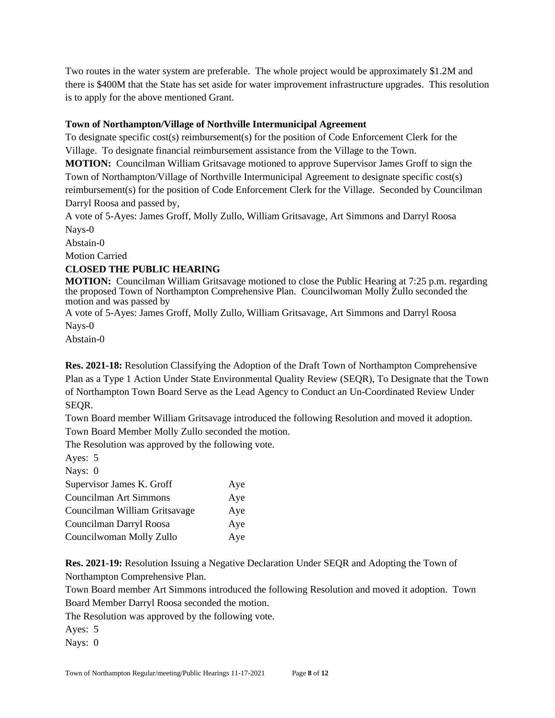Two routes in the water system are preferable. The whole project would be approximately \$1.2M and there is \$400M that the State has set aside for water improvement infrastructure upgrades. This resolution is to apply for the above mentioned Grant.

## **Town of Northampton/Village of Northville Intermunicipal Agreement**

To designate specific cost(s) reimbursement(s) for the position of Code Enforcement Clerk for the Village. To designate financial reimbursement assistance from the Village to the Town.

**MOTION:** Councilman William Gritsavage motioned to approve Supervisor James Groff to sign the Town of Northampton/Village of Northville Intermunicipal Agreement to designate specific cost(s) reimbursement(s) for the position of Code Enforcement Clerk for the Village. Seconded by Councilman Darryl Roosa and passed by,

A vote of 5-Ayes: James Groff, Molly Zullo, William Gritsavage, Art Simmons and Darryl Roosa Nays-0

Abstain-0

Motion Carried

# **CLOSED THE PUBLIC HEARING**

**MOTION:** Councilman William Gritsavage motioned to close the Public Hearing at 7:25 p.m. regarding the proposed Town of Northampton Comprehensive Plan. Councilwoman Molly Zullo seconded the motion and was passed by

A vote of 5-Ayes: James Groff, Molly Zullo, William Gritsavage, Art Simmons and Darryl Roosa Nays-0

Abstain-0

**Res. 2021-18:** Resolution Classifying the Adoption of the Draft Town of Northampton Comprehensive Plan as a Type 1 Action Under State Environmental Quality Review (SEQR), To Designate that the Town of Northampton Town Board Serve as the Lead Agency to Conduct an Un-Coordinated Review Under SEQR.

Town Board member William Gritsavage introduced the following Resolution and moved it adoption. Town Board Member Molly Zullo seconded the motion.

The Resolution was approved by the following vote.

Ayes: 5

| Nays: $0$                     |     |
|-------------------------------|-----|
| Supervisor James K. Groff     | Aye |
| Councilman Art Simmons        | Aye |
| Councilman William Gritsavage | Aye |
| Councilman Darryl Roosa       | Aye |
| Councilwoman Molly Zullo      | Aye |

**Res. 2021-19:** Resolution Issuing a Negative Declaration Under SEQR and Adopting the Town of Northampton Comprehensive Plan.

Town Board member Art Simmons introduced the following Resolution and moved it adoption. Town Board Member Darryl Roosa seconded the motion.

The Resolution was approved by the following vote.

Ayes: 5

Nays: 0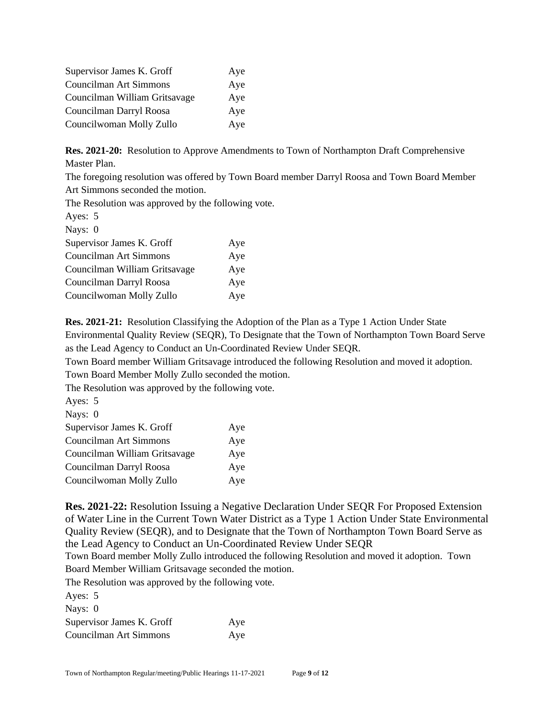| Supervisor James K. Groff     | Aye |
|-------------------------------|-----|
| Councilman Art Simmons        | Aye |
| Councilman William Gritsavage | Aye |
| Councilman Darryl Roosa       | Aye |
| Councilwoman Molly Zullo      | Aye |

**Res. 2021-20:** Resolution to Approve Amendments to Town of Northampton Draft Comprehensive Master Plan.

The foregoing resolution was offered by Town Board member Darryl Roosa and Town Board Member Art Simmons seconded the motion.

The Resolution was approved by the following vote.

| Ayes: 5                       |     |
|-------------------------------|-----|
| Nays: 0                       |     |
| Supervisor James K. Groff     | Aye |
| Councilman Art Simmons        | Aye |
| Councilman William Gritsavage | Aye |
| Councilman Darryl Roosa       | Aye |
| Councilwoman Molly Zullo      | Aye |
|                               |     |

**Res. 2021-21:** Resolution Classifying the Adoption of the Plan as a Type 1 Action Under State Environmental Quality Review (SEQR), To Designate that the Town of Northampton Town Board Serve as the Lead Agency to Conduct an Un-Coordinated Review Under SEQR.

Town Board member William Gritsavage introduced the following Resolution and moved it adoption.

Town Board Member Molly Zullo seconded the motion.

The Resolution was approved by the following vote.

| Ayes: 5                       |     |
|-------------------------------|-----|
| Nays: 0                       |     |
| Supervisor James K. Groff     | Aye |
| Councilman Art Simmons        | Aye |
| Councilman William Gritsavage | Aye |
| Councilman Darryl Roosa       | Aye |
| Councilwoman Molly Zullo      | Aye |
|                               |     |

**Res. 2021-22:** Resolution Issuing a Negative Declaration Under SEQR For Proposed Extension of Water Line in the Current Town Water District as a Type 1 Action Under State Environmental Quality Review (SEQR), and to Designate that the Town of Northampton Town Board Serve as the Lead Agency to Conduct an Un-Coordinated Review Under SEQR

Town Board member Molly Zullo introduced the following Resolution and moved it adoption. Town Board Member William Gritsavage seconded the motion.

The Resolution was approved by the following vote.

| Ayes: 5                   |     |
|---------------------------|-----|
| Nays: 0                   |     |
| Supervisor James K. Groff | Aye |
| Councilman Art Simmons    | Aye |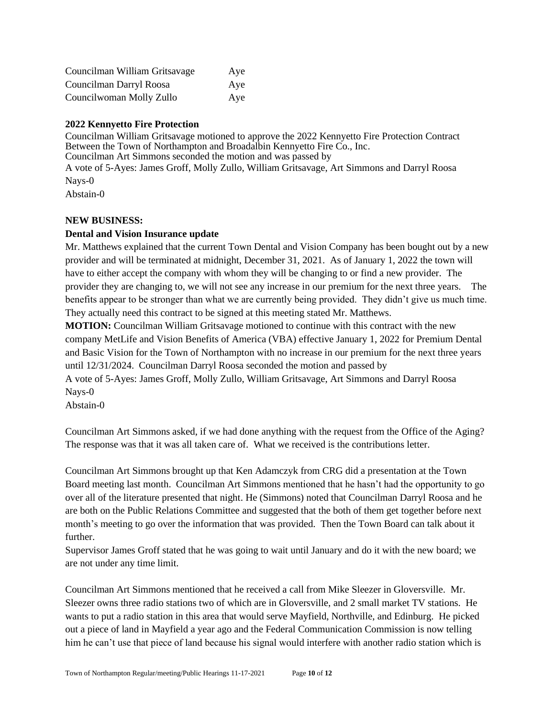| Councilman William Gritsavage | Aye |
|-------------------------------|-----|
| Councilman Darryl Roosa       | Aye |
| Councilwoman Molly Zullo      | Aye |

## **2022 Kennyetto Fire Protection**

Councilman William Gritsavage motioned to approve the 2022 Kennyetto Fire Protection Contract Between the Town of Northampton and Broadalbin Kennyetto Fire Co., Inc. Councilman Art Simmons seconded the motion and was passed by A vote of 5-Ayes: James Groff, Molly Zullo, William Gritsavage, Art Simmons and Darryl Roosa Nays-0 Abstain-0

#### **NEW BUSINESS:**

#### **Dental and Vision Insurance update**

Mr. Matthews explained that the current Town Dental and Vision Company has been bought out by a new provider and will be terminated at midnight, December 31, 2021. As of January 1, 2022 the town will have to either accept the company with whom they will be changing to or find a new provider. The provider they are changing to, we will not see any increase in our premium for the next three years. The benefits appear to be stronger than what we are currently being provided. They didn't give us much time. They actually need this contract to be signed at this meeting stated Mr. Matthews.

**MOTION:** Councilman William Gritsavage motioned to continue with this contract with the new company MetLife and Vision Benefits of America (VBA) effective January 1, 2022 for Premium Dental and Basic Vision for the Town of Northampton with no increase in our premium for the next three years until 12/31/2024. Councilman Darryl Roosa seconded the motion and passed by

A vote of 5-Ayes: James Groff, Molly Zullo, William Gritsavage, Art Simmons and Darryl Roosa Nays-0

Abstain-0

Councilman Art Simmons asked, if we had done anything with the request from the Office of the Aging? The response was that it was all taken care of. What we received is the contributions letter.

Councilman Art Simmons brought up that Ken Adamczyk from CRG did a presentation at the Town Board meeting last month. Councilman Art Simmons mentioned that he hasn't had the opportunity to go over all of the literature presented that night. He (Simmons) noted that Councilman Darryl Roosa and he are both on the Public Relations Committee and suggested that the both of them get together before next month's meeting to go over the information that was provided. Then the Town Board can talk about it further.

Supervisor James Groff stated that he was going to wait until January and do it with the new board; we are not under any time limit.

Councilman Art Simmons mentioned that he received a call from Mike Sleezer in Gloversville. Mr. Sleezer owns three radio stations two of which are in Gloversville, and 2 small market TV stations. He wants to put a radio station in this area that would serve Mayfield, Northville, and Edinburg. He picked out a piece of land in Mayfield a year ago and the Federal Communication Commission is now telling him he can't use that piece of land because his signal would interfere with another radio station which is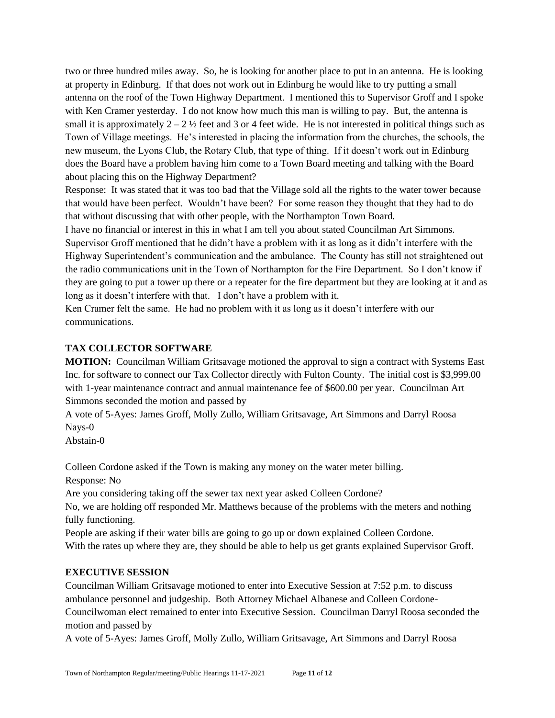two or three hundred miles away. So, he is looking for another place to put in an antenna. He is looking at property in Edinburg. If that does not work out in Edinburg he would like to try putting a small antenna on the roof of the Town Highway Department. I mentioned this to Supervisor Groff and I spoke with Ken Cramer yesterday. I do not know how much this man is willing to pay. But, the antenna is small it is approximately  $2 - 2 \frac{1}{2}$  feet and 3 or 4 feet wide. He is not interested in political things such as Town of Village meetings. He's interested in placing the information from the churches, the schools, the new museum, the Lyons Club, the Rotary Club, that type of thing. If it doesn't work out in Edinburg does the Board have a problem having him come to a Town Board meeting and talking with the Board about placing this on the Highway Department?

Response: It was stated that it was too bad that the Village sold all the rights to the water tower because that would have been perfect. Wouldn't have been? For some reason they thought that they had to do that without discussing that with other people, with the Northampton Town Board.

I have no financial or interest in this in what I am tell you about stated Councilman Art Simmons. Supervisor Groff mentioned that he didn't have a problem with it as long as it didn't interfere with the Highway Superintendent's communication and the ambulance. The County has still not straightened out the radio communications unit in the Town of Northampton for the Fire Department. So I don't know if they are going to put a tower up there or a repeater for the fire department but they are looking at it and as long as it doesn't interfere with that. I don't have a problem with it.

Ken Cramer felt the same. He had no problem with it as long as it doesn't interfere with our communications.

#### **TAX COLLECTOR SOFTWARE**

**MOTION:** Councilman William Gritsavage motioned the approval to sign a contract with Systems East Inc. for software to connect our Tax Collector directly with Fulton County. The initial cost is \$3,999.00 with 1-year maintenance contract and annual maintenance fee of \$600.00 per year. Councilman Art Simmons seconded the motion and passed by

A vote of 5-Ayes: James Groff, Molly Zullo, William Gritsavage, Art Simmons and Darryl Roosa Nays-0

Abstain-0

Colleen Cordone asked if the Town is making any money on the water meter billing.

Response: No

Are you considering taking off the sewer tax next year asked Colleen Cordone?

No, we are holding off responded Mr. Matthews because of the problems with the meters and nothing fully functioning.

People are asking if their water bills are going to go up or down explained Colleen Cordone. With the rates up where they are, they should be able to help us get grants explained Supervisor Groff.

#### **EXECUTIVE SESSION**

Councilman William Gritsavage motioned to enter into Executive Session at 7:52 p.m. to discuss ambulance personnel and judgeship. Both Attorney Michael Albanese and Colleen Cordone-Councilwoman elect remained to enter into Executive Session. Councilman Darryl Roosa seconded the motion and passed by

A vote of 5-Ayes: James Groff, Molly Zullo, William Gritsavage, Art Simmons and Darryl Roosa